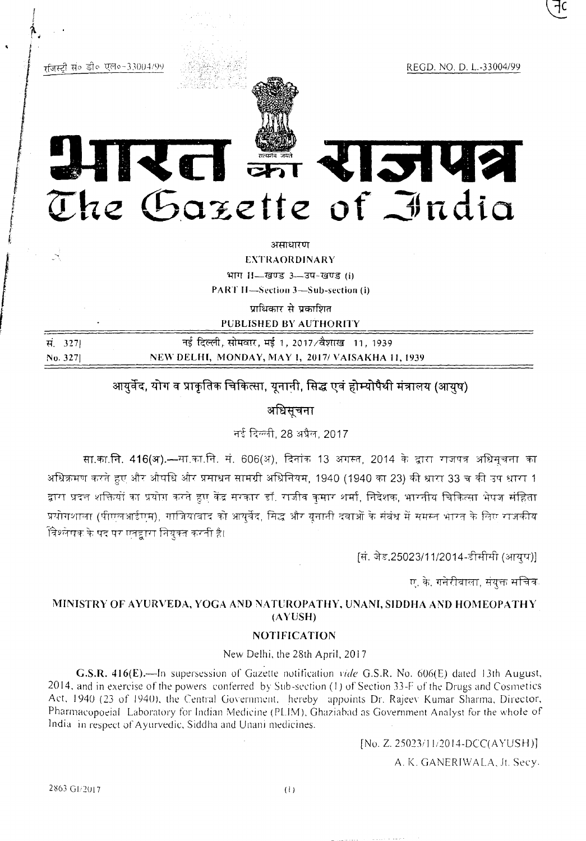REGD. NO. D. L.-33004/99

KU WA KIPINSI The Gazette of India

> असाधारण **EXTRAORDINARY** भाग 11-खण्ड 3-3प-खण्ड (i) PART II-Section 3-Sub-section (i)

प्राधिकार से प्रकाशित PUBLISHED BY AUTHORITY

| स. 3271  | नई दिल्ली, सोमवार, मई 1, 2017∕वैशाख़-11, 1939     |
|----------|---------------------------------------------------|
| No. 3271 | NEW DELHI, MONDAY, MAY 1, 2017/ VAISAKHA 11, 1939 |

# आयुर्वेद, योग व प्राकृतिक चिकित्सा, यूनानी, सिद्ध एवं होम्योपैथी मंत्रालय (आयुष)

अधिसूचना

नई दिल्ली, 28 अप्रैल, 2017

सा.का.नि. 416(अ).—मा.का.नि. सं. 606(अ), दिनांक 13 अगस्त, 2014 के द्वारा राजपत्र अधिसूचना का अधिक्रमण करते हुए और औषधि और प्रसाधन सामग्री अधिनियम, 1940 (1940 का 23) की धारा 33 च की उप धारा 1 द्वारा प्रदत्त शक्तियों का प्रयोग करते हुए केंद्र सरकार डॉ. राजीव कुमार शर्मा, निदेशक, भारतीय चिकित्सा भेषज संहिता प्रयोगशाला (पीएलआईएम), गाजियावाद को आयुर्वेद, सिद्ध और यूनाती दबाओं के संबंध में समस्त भारत के लिए राजकीय विश्लेषक के पद पर एतद्वारा तियुक्त करती है।

[सं. जेड.25023/11/2014-डीसीसी (आयुष)]

ए. के. गनेरीवाला, संयुक्त सचिव

## MINISTRY OF AYURVEDA, YOGA AND NATUROPATHY, UNANI, SIDDHA AND HOMEOPATHY  $(AYUSH)$

## **NOTIFICATION**

#### New Delhi, the 28th April, 2017

G.S.R. 416(E).—In supersession of Gazette notification vide G.S.R. No. 606(E) dated 13th August, 2014, and in exercise of the powers conferred by Sub-section (1) of Section 33-F of the Drugs and Cosmetics Act, 1940 (23 of 1940), the Central Government, hereby appoints Dr. Rajeev Kumar Sharma, Director, Pharmacopoeial Laboratory for Indian Medicine (PLIM), Ghaziabad as Government Analyst for the whole of India in respect of Ayurvedic, Siddha and Unani medicines.

[No. Z. 25023/11/2014-DCC(AYUSH)]

A. K. GANERIWALA, Jt. Secy.

2863 GI/2017

र्राजस्ट्री सं० डी० एल०-33004/99